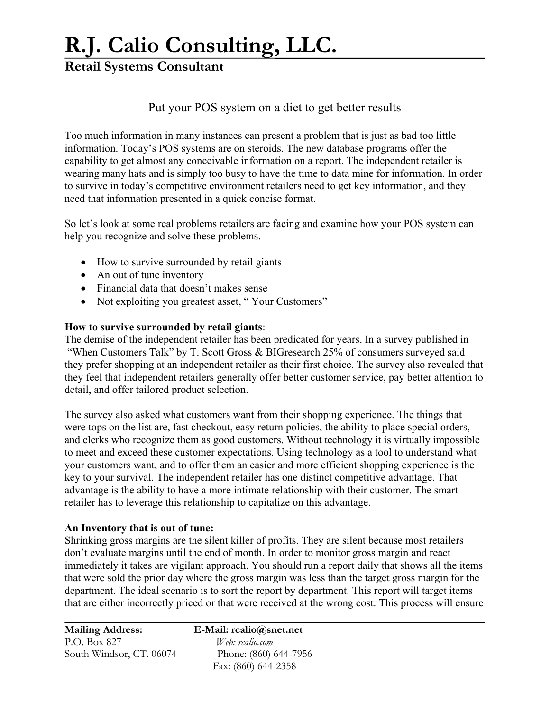## **R.J. Calio Consulting, LLC.**

## **Retail Systems Consultant**

### Put your POS system on a diet to get better results

Too much information in many instances can present a problem that is just as bad too little information. Today's POS systems are on steroids. The new database programs offer the capability to get almost any conceivable information on a report. The independent retailer is wearing many hats and is simply too busy to have the time to data mine for information. In order to survive in today's competitive environment retailers need to get key information, and they need that information presented in a quick concise format.

So let's look at some real problems retailers are facing and examine how your POS system can help you recognize and solve these problems.

- How to survive surrounded by retail giants
- An out of tune inventory
- Financial data that doesn't makes sense
- Not exploiting you greatest asset, "Your Customers"

#### **How to survive surrounded by retail giants**:

The demise of the independent retailer has been predicated for years. In a survey published in "When Customers Talk" by T. Scott Gross & BIGresearch 25% of consumers surveyed said they prefer shopping at an independent retailer as their first choice. The survey also revealed that they feel that independent retailers generally offer better customer service, pay better attention to detail, and offer tailored product selection.

The survey also asked what customers want from their shopping experience. The things that were tops on the list are, fast checkout, easy return policies, the ability to place special orders, and clerks who recognize them as good customers. Without technology it is virtually impossible to meet and exceed these customer expectations. Using technology as a tool to understand what your customers want, and to offer them an easier and more efficient shopping experience is the key to your survival. The independent retailer has one distinct competitive advantage. That advantage is the ability to have a more intimate relationship with their customer. The smart retailer has to leverage this relationship to capitalize on this advantage.

#### **An Inventory that is out of tune:**

Shrinking gross margins are the silent killer of profits. They are silent because most retailers don't evaluate margins until the end of month. In order to monitor gross margin and react immediately it takes are vigilant approach. You should run a report daily that shows all the items that were sold the prior day where the gross margin was less than the target gross margin for the department. The ideal scenario is to sort the report by department. This report will target items that are either incorrectly priced or that were received at the wrong cost. This process will ensure

| <b>Mailing Address:</b>  |
|--------------------------|
| P.O. Box 827             |
| South Windsor, CT. 06074 |

**E-Mail:** rcalio@snet.net Web: rcalio.com Phone: (860) 644-7956 Fax: (860) 644-2358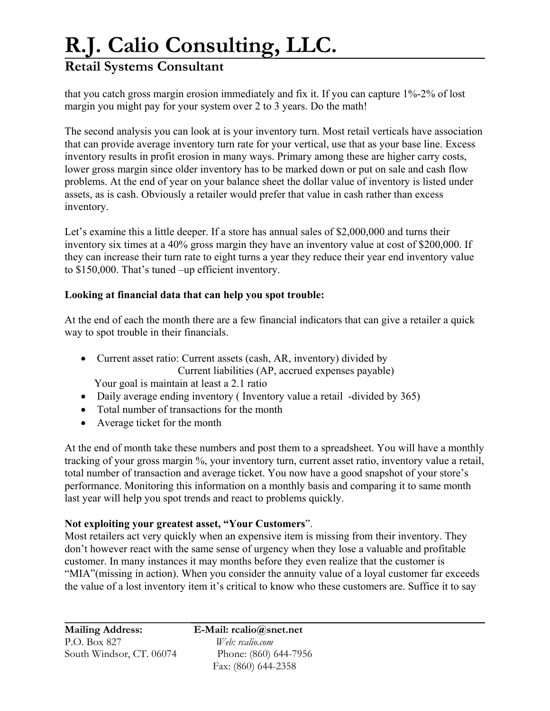## **R.J. Calio Consulting, LLC.**

## **Retail Systems Consultant**

that you catch gross margin erosion immediately and fix it. If you can capture 1%-2% of lost margin you might pay for your system over 2 to 3 years. Do the math!

The second analysis you can look at is your inventory turn. Most retail verticals have association that can provide average inventory turn rate for your vertical, use that as your base line. Excess inventory results in profit erosion in many ways. Primary among these are higher carry costs, lower gross margin since older inventory has to be marked down or put on sale and cash flow problems. At the end of year on your balance sheet the dollar value of inventory is listed under assets, as is cash. Obviously a retailer would prefer that value in cash rather than excess inventory.

Let's examine this a little deeper. If a store has annual sales of \$2,000,000 and turns their inventory six times at a 40% gross margin they have an inventory value at cost of \$200,000. If they can increase their turn rate to eight turns a year they reduce their year end inventory value to \$150,000. That's tuned –up efficient inventory.

### **Looking at financial data that can help you spot trouble:**

At the end of each the month there are a few financial indicators that can give a retailer a quick way to spot trouble in their financials.

• Current asset ratio: Current assets (cash, AR, inventory) divided by Current liabilities (AP, accrued expenses payable)

Your goal is maintain at least a 2.1 ratio

- Daily average ending inventory (Inventory value a retail -divided by 365)
- Total number of transactions for the month
- Average ticket for the month

At the end of month take these numbers and post them to a spreadsheet. You will have a monthly tracking of your gross margin %, your inventory turn, current asset ratio, inventory value a retail, total number of transaction and average ticket. You now have a good snapshot of your store's performance. Monitoring this information on a monthly basis and comparing it to same month last year will help you spot trends and react to problems quickly.

### **Not exploiting your greatest asset, "Your Customers**".

Most retailers act very quickly when an expensive item is missing from their inventory. They don't however react with the same sense of urgency when they lose a valuable and profitable customer. In many instances it may months before they even realize that the customer is "MIA"(missing in action). When you consider the annuity value of a loyal customer far exceeds the value of a lost inventory item it's critical to know who these customers are. Suffice it to say

**Mailing Address: E-Mail: rcalio@snet.net**  P.O. Box 827 *Web: rcalio.com* South Windsor, CT. 06074 Phone: (860) 644-7956

Fax: (860) 644-2358